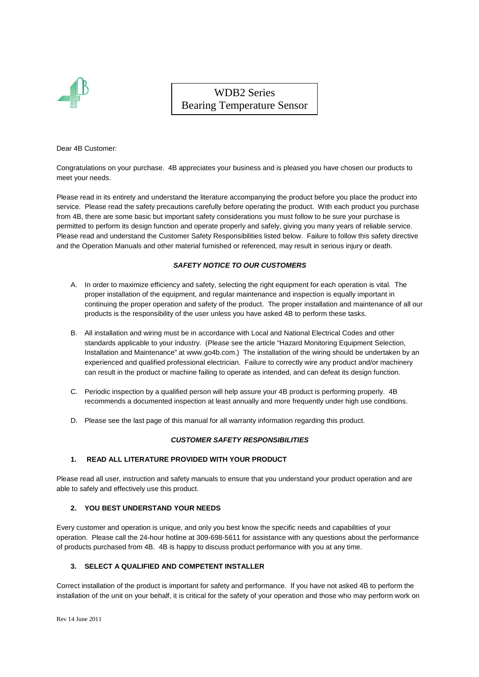

WDB2 Series Bearing Temperature Sensor

Dear 4B Customer:

Congratulations on your purchase. 4B appreciates your business and is pleased you have chosen our products to meet your needs.

Please read in its entirety and understand the literature accompanying the product before you place the product into service. Please read the safety precautions carefully before operating the product. With each product you purchase from 4B, there are some basic but important safety considerations you must follow to be sure your purchase is permitted to perform its design function and operate properly and safely, giving you many years of reliable service. Please read and understand the Customer Safety Responsibilities listed below. Failure to follow this safety directive and the Operation Manuals and other material furnished or referenced, may result in serious injury or death.

## **SAFETY NOTICE TO OUR CUSTOMERS**

- A. In order to maximize efficiency and safety, selecting the right equipment for each operation is vital. The proper installation of the equipment, and regular maintenance and inspection is equally important in continuing the proper operation and safety of the product. The proper installation and maintenance of all our products is the responsibility of the user unless you have asked 4B to perform these tasks.
- B. All installation and wiring must be in accordance with Local and National Electrical Codes and other standards applicable to your industry. (Please see the article "Hazard Monitoring Equipment Selection, Installation and Maintenance" at www.go4b.com.) The installation of the wiring should be undertaken by an experienced and qualified professional electrician. Failure to correctly wire any product and/or machinery can result in the product or machine failing to operate as intended, and can defeat its design function.
- C. Periodic inspection by a qualified person will help assure your 4B product is performing properly. 4B recommends a documented inspection at least annually and more frequently under high use conditions.
- D. Please see the last page of this manual for all warranty information regarding this product.

#### **CUSTOMER SAFETY RESPONSIBILITIES**

#### **1. READ ALL LITERATURE PROVIDED WITH YOUR PRODUCT**

Please read all user, instruction and safety manuals to ensure that you understand your product operation and are able to safely and effectively use this product.

#### **2. YOU BEST UNDERSTAND YOUR NEEDS**

Every customer and operation is unique, and only you best know the specific needs and capabilities of your operation. Please call the 24-hour hotline at 309-698-5611 for assistance with any questions about the performance of products purchased from 4B. 4B is happy to discuss product performance with you at any time.

#### **3. SELECT A QUALIFIED AND COMPETENT INSTALLER**

Correct installation of the product is important for safety and performance. If you have not asked 4B to perform the installation of the unit on your behalf, it is critical for the safety of your operation and those who may perform work on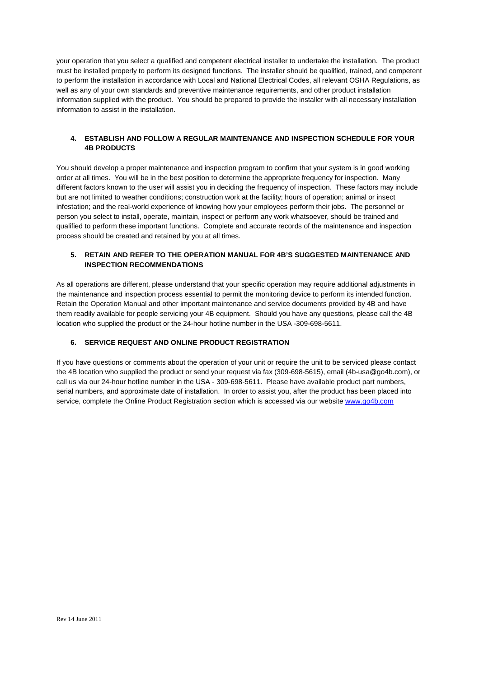your operation that you select a qualified and competent electrical installer to undertake the installation. The product must be installed properly to perform its designed functions. The installer should be qualified, trained, and competent to perform the installation in accordance with Local and National Electrical Codes, all relevant OSHA Regulations, as well as any of your own standards and preventive maintenance requirements, and other product installation information supplied with the product. You should be prepared to provide the installer with all necessary installation information to assist in the installation.

#### **4. ESTABLISH AND FOLLOW A REGULAR MAINTENANCE AND INSPECTION SCHEDULE FOR YOUR 4B PRODUCTS**

You should develop a proper maintenance and inspection program to confirm that your system is in good working order at all times. You will be in the best position to determine the appropriate frequency for inspection. Many different factors known to the user will assist you in deciding the frequency of inspection. These factors may include but are not limited to weather conditions; construction work at the facility; hours of operation; animal or insect infestation; and the real-world experience of knowing how your employees perform their jobs. The personnel or person you select to install, operate, maintain, inspect or perform any work whatsoever, should be trained and qualified to perform these important functions. Complete and accurate records of the maintenance and inspection process should be created and retained by you at all times.

#### **5. RETAIN AND REFER TO THE OPERATION MANUAL FOR 4B'S SUGGESTED MAINTENANCE AND INSPECTION RECOMMENDATIONS**

As all operations are different, please understand that your specific operation may require additional adjustments in the maintenance and inspection process essential to permit the monitoring device to perform its intended function. Retain the Operation Manual and other important maintenance and service documents provided by 4B and have them readily available for people servicing your 4B equipment. Should you have any questions, please call the 4B location who supplied the product or the 24-hour hotline number in the USA -309-698-5611.

#### **6. SERVICE REQUEST AND ONLINE PRODUCT REGISTRATION**

If you have questions or comments about the operation of your unit or require the unit to be serviced please contact the 4B location who supplied the product or send your request via fax (309-698-5615), email (4b-usa@go4b.com), or call us via our 24-hour hotline number in the USA - 309-698-5611. Please have available product part numbers, serial numbers, and approximate date of installation. In order to assist you, after the product has been placed into service, complete the Online Product Registration section which is accessed via our website www.go4b.com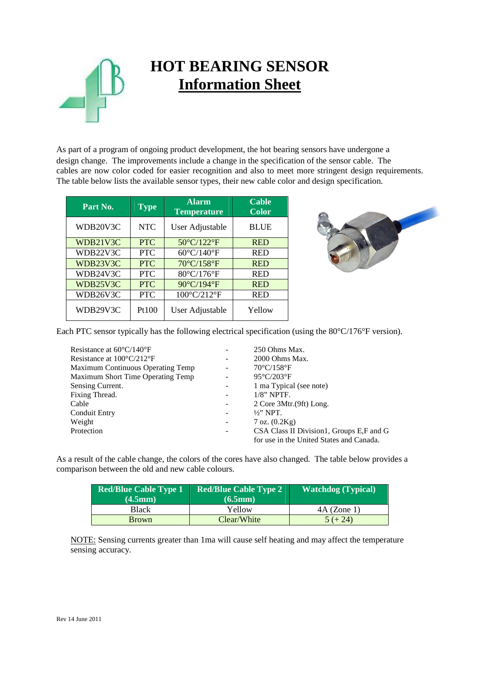

# **HOT BEARING SENSOR Information Sheet**

As part of a program of ongoing product development, the hot bearing sensors have undergone a design change. The improvements include a change in the specification of the sensor cable. The cables are now color coded for easier recognition and also to meet more stringent design requirements. The table below lists the available sensor types, their new cable color and design specification.

| Part No. | <b>Type</b> | <b>Alarm</b><br><b>Temperature</b> | <b>Cable</b><br><b>Color</b> |
|----------|-------------|------------------------------------|------------------------------|
| WDB20V3C | <b>NTC</b>  | User Adjustable                    | <b>BLUE</b>                  |
| WDB21V3C | <b>PTC</b>  | 50°C/122°F                         | <b>RED</b>                   |
| WDB22V3C | <b>PTC</b>  | 60°C/140°F                         | <b>RED</b>                   |
| WDB23V3C | <b>PTC</b>  | 70°C/158°F                         | <b>RED</b>                   |
| WDB24V3C | <b>PTC</b>  | 80°C/176°F                         | <b>RED</b>                   |
| WDB25V3C | <b>PTC</b>  | 90°C/194°F                         | <b>RED</b>                   |
| WDB26V3C | <b>PTC</b>  | 100°C/212°F                        | <b>RED</b>                   |
| WDB29V3C | Pt100       | User Adjustable                    | Yellow                       |



Each PTC sensor typically has the following electrical specification (using the 80°C/176°F version).

| Resistance at $60^{\circ}C/140^{\circ}F$         |                          | 250 Ohms Max.                            |
|--------------------------------------------------|--------------------------|------------------------------------------|
| Resistance at $100^{\circ}$ C/212 <sup>°</sup> F |                          | 2000 Ohms Max.                           |
| Maximum Continuous Operating Temp                |                          | $70^{\circ}$ C/158 $^{\circ}$ F          |
| Maximum Short Time Operating Temp                |                          | $95^{\circ}$ C/203 $^{\circ}$ F          |
| Sensing Current.                                 |                          | 1 ma Typical (see note)                  |
| Fixing Thread.                                   |                          | $1/8$ " NPTF.                            |
| Cable                                            | $\overline{\phantom{a}}$ | 2 Core 3Mtr. (9ft) Long.                 |
| <b>Conduit Entry</b>                             |                          | $\frac{1}{2}$ NPT.                       |
| Weight                                           | $\overline{\phantom{a}}$ | $7$ oz. $(0.2Kg)$                        |
| Protection                                       | $\overline{\phantom{a}}$ | CSA Class II Division1, Groups E,F and G |
|                                                  |                          | for use in the United States and Canada. |

As a result of the cable change, the colors of the cores have also changed. The table below provides a comparison between the old and new cable colours.

| Red/Blue Cable Type 1 | <b>Red/Blue Cable Type 2</b> | <b>Watchdog</b> (Typical) |
|-----------------------|------------------------------|---------------------------|
| (4.5mm)               | (6.5mm)                      |                           |
| Black                 | Yellow                       | $4A$ (Zone 1)             |
| <b>Brown</b>          | Clear/White                  | $5(+24)$                  |

NOTE: Sensing currents greater than 1ma will cause self heating and may affect the temperature sensing accuracy.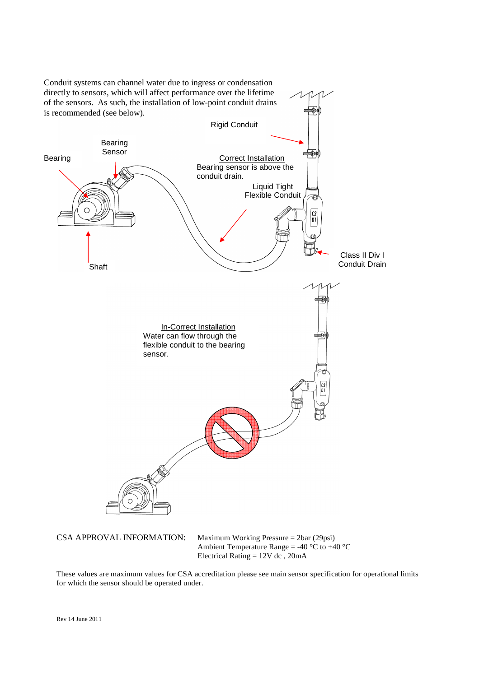

These values are maximum values for CSA accreditation please see main sensor specification for operational limits for which the sensor should be operated under.